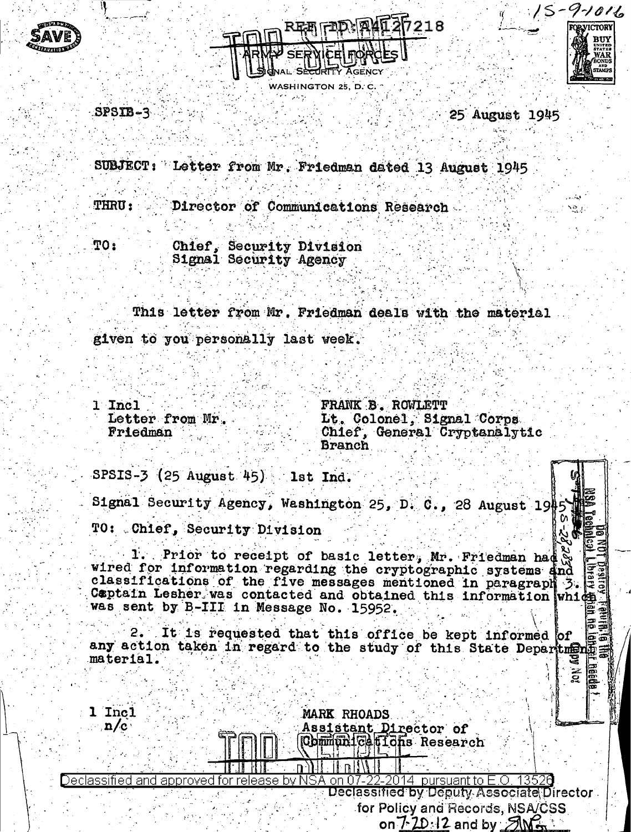



WASHINGTON 25



ឆ្ន

 $SPSTB-3$ 

25 August 1945

SUBJECT: Letter from Mr. Friedman dated 13 August 1945

**THRU:** Director of Communications Research

 $TO<sub>2</sub>$ Chief, Security Division Signal Security Agency

This letter from Mr. Friedman deals with the material given to you personally last week.

1 Incl Letter from Mr. Friedman

FRANK B. ROWLETT Lt. Colonel, Signal Corps. Chief, General Cryptanalytic **Branch** 

SPSIS-3 (25 August 45) 1st Ind.

Signal Security Agency, Washington 25, D. C., 28 August 1945 TO: Chief, Security Division

1. Prior to receipt of basic letter, Mr. Friedman had wired for information regarding the cryptographic systems and classifications of the five messages mentioned in paragraph 3. E captain Lesher was contacted and obtained this information which was sent by B-III in Message No. 15952.

It is requested that this office be kept informed of any action taken in regard to the study of this State Department material.

1 Incl MARK RHOADS  $n/c$ Assistant Director of Communications Research Declassified and approved for release by N SA on 07 2014 bursuant to E.O. Declassified by Deputy Associate Director for Policy and Records, NSA/CSS on  $7-20.12$  and by  $5\%$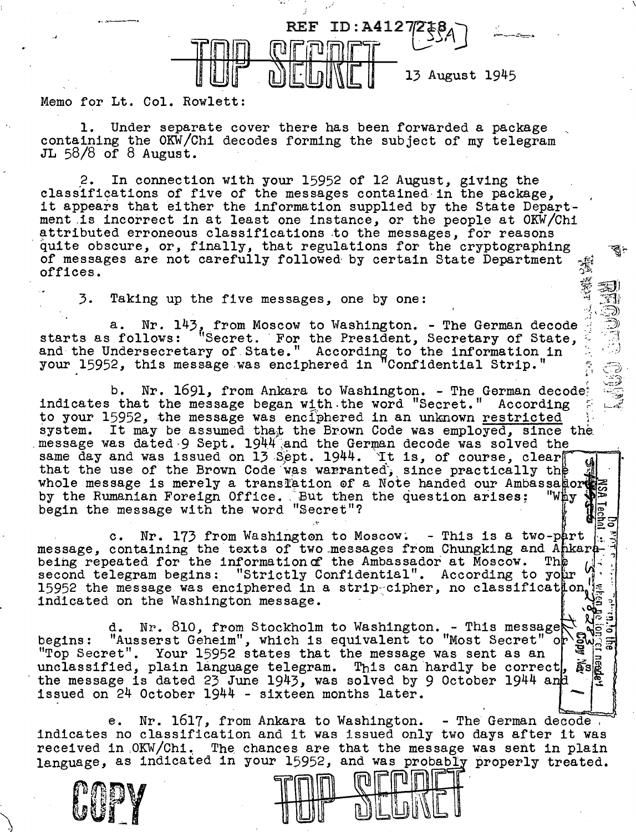

Memo for Lt. Col. Rowlett:

·'

1. Under separate cover there has been forwarded a package containing the OKW/Chi decodes forming the subject of my telegram JL 58/8 of 8 August.

·,.

2. In connection with your 15952 of 12 August, giving the classifications of five of the messages contained in the package, it appears that either the information supplied by the State Department .is incorrect in at least one instance, or the people at OKW/Chi attributed erroneous classifications to the messages, for reasons quite obscure, or, finally, that regulations for the cryptographing of messages are not carefully followed· by certain State Department offices.  $\frac{1}{2}$ 

 $-$ 

 $\overline{\phantom{a}}$ 

 $\vec{v} \equiv \vec{v}$  $\frac{1}{2}$   $\mathbb{R}$  $\mathcal{B}$  .  $\mathcal{L}(\mathcal{D})$  .

.<br>.<br>بالت

3. Taking up the five messages, one by one:

a. Nr. 143, from Moscow to Washington. - The German decode :::j, \$143, from Moscow to Washington. - The German decode :::::: \$150 starts as follows: "Secret. ·For the President, Secretary of State,  $\frac{1}{2}$ your 15952, this message was enciphered in "Confidential Strip."  $\hat{z}_i \implies z$ .

b. Nr. 1691, from Ankara to Washington. - The German decode: indicates that the message began with the word "Secret." According to your 15952, the message was enciphered in an unknown restricted system. It may be assumed that the Brown Code was employed, since the message was dated 9 Sept. 1944 and the German decode was solved the same day and was issued on  $13$  Sept. 1944. It is, of course, clear that the use of the Brown Code was warranted, since practically the whole message is merely a translation of a Note handed our Ambassagore<br>by the Rumanian Foreign Office. But then the question arises: "Why by the Rumanian Foreign Office. But then the question arises; begin the message with the word "Secret"? ,,. 5:?

c. Nr. 173 from Washington to Moscow. - This is a two-part : 3<br>message, containing the texts of two messages from Chungking and Ankare being repeated for the information of the Ambassador at Moscow. The the second telegram begins: "Strictly Confidential". According to your second telegram begins: "Strictly Confidential". According to your '<br>15952 the message was enciphered in a strip-cipher, no classification indicated on the Washington message.

d. Nr. 810, from Stockholm to Washington. - This message  $\mathbb{R}$ begins: "Ausserst Geheim", which is equivalent to "Most Secret" or  $\frac{1}{2}w_{\text{max}}$ begins: "Ausserst Geheim", which is equivalent to "Most Secret"<br>"Top Secret". Your 15952 states that the message was sent as an unclassified, plain language telegram. This can hardly be correct,  $\tilde{\mathbf{g}}$ s $\mathbb{R}$ the message is dated 23 June 1943, was solved by 9 October 1944 and issued on  $24$  October  $1944$  - sixteen months later.

e. Nr. 1617, from Ankara to Washington. - The German decode, indicates no classification and it was issued only two days after it was received in OKW/Chi. The chances are that the message was sent in plain The chances are that the message was sent in plain language, as indicated in your 15952, and was probably properly treated.